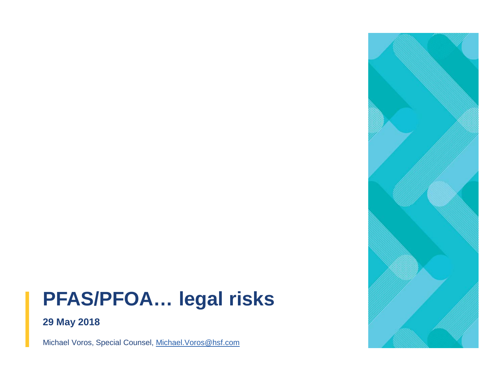# **PFAS/PFOA… legal risks**



**29 May 2018**

Michael Voros, Special Counsel, [Michael.Voros@hsf.com](mailto:Michael.Voros@hsf.com)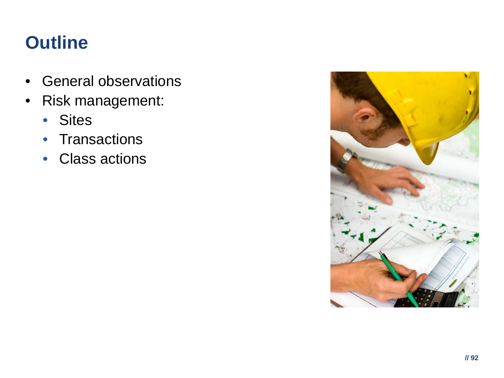# **Outline**

- General observations
- Risk management:
	- Sites
	- Transactions
	- Class actions

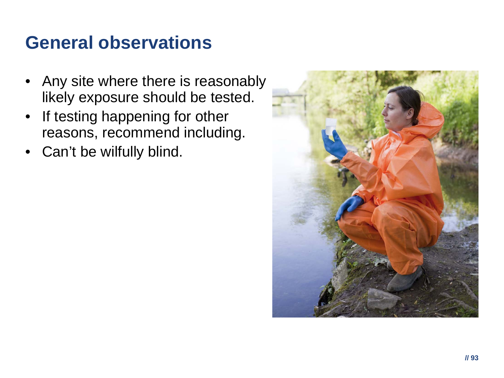### **General observations**

- Any site where there is reasonably likely exposure should be tested.
- If testing happening for other reasons, recommend including.
- Can't be wilfully blind.

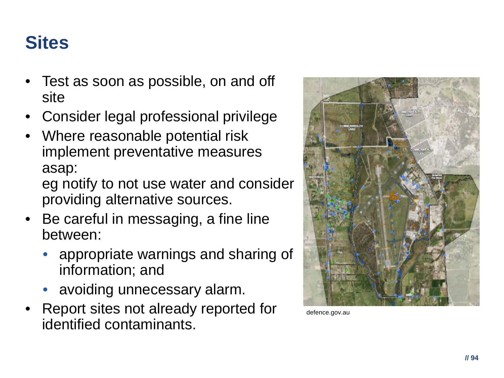# **Sites**

- Test as soon as possible, on and off site
- Consider legal professional privilege
- Where reasonable potential risk implement preventative measures asap:

eg notify to not use water and consider providing alternative sources.

- Be careful in messaging, a fine line between:
	- appropriate warnings and sharing of information; and
	- avoiding unnecessary alarm.
- Report sites not already reported for identified contaminants.



defence.gov.au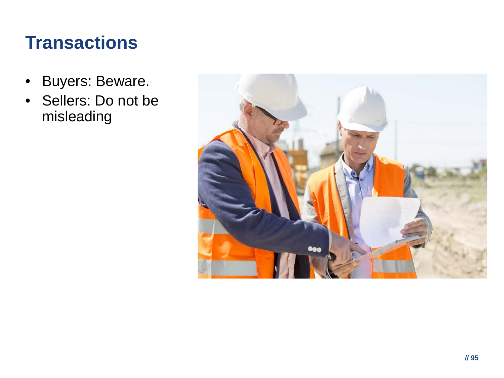### **Transactions**

- Buyers: Beware.
- Sellers: Do not be misleading

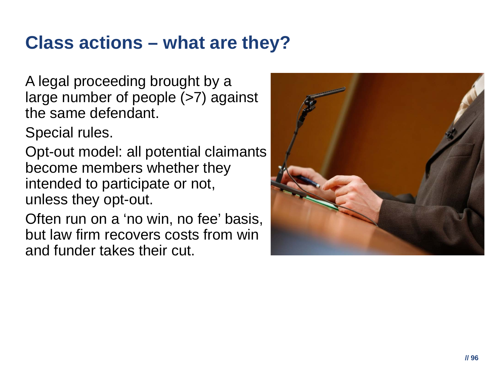#### **Class actions – what are they?**

A legal proceeding brought by a large number of people (>7) against the same defendant.

Special rules.

Opt-out model: all potential claimants become members whether they intended to participate or not, unless they opt-out.

Often run on a 'no win, no fee' basis, but law firm recovers costs from win and funder takes their cut.

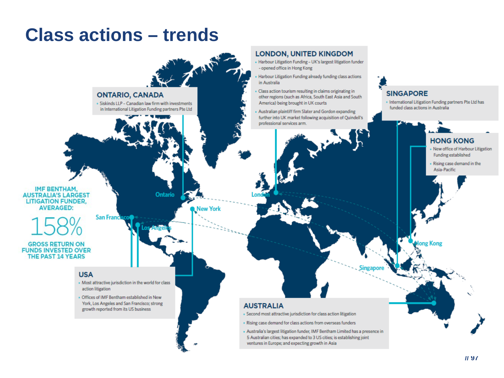#### **Class actions – trends**

#### **LONDON, UNITED KINGDOM** . Harbour Litigation Funding - UK's largest litigation funder - opened office in Hong Kong Harbour Litigation Funding already funding class actions in Australia Class action tourism resulting in claims originating in **SINGAPORE ONTARIO, CANADA** other regions (such as Africa, South East Asia and South · International Litigation Funding partners Pte Ltd has America) being brought in UK courts . Siskinds LLP - Canadian law firm with investments funded class actions in Australia in International Litigation Funding partners Pte Ltd . Australian plaintiff firm Slater and Gordon expanding further into UK market following acquisition of Quindell's professional services arm. **HONG KONG** » New office of Harbour Litigation IMF BENTHAM. **Ontario AUSTRALIA'S LARGEST LITIGATION FUNDER. AVERAGED:** New York **San Franc** long Kong **GROSS RETURN ON FUNDS INVESTED OVER THE PAST 14 YEARS USA** » Most attractive jurisdiction in the world for class action litigation . Offices of IMF Bentham established in New York, Los Angeles and San Francisco; strong **AUSTRALIA** growth reported from its US business » Second most attractive jurisdiction for class action litigation . Rising case demand for class actions from overseas funders » Australia's largest litigation funder, IMF Bentham Limited has a presence in 5 Australian cities; has expanded to 3 US cities; is establishing joint ventures in Europe; and expecting growth in Asia

Funding established Rising case demand in the Asia-Pacific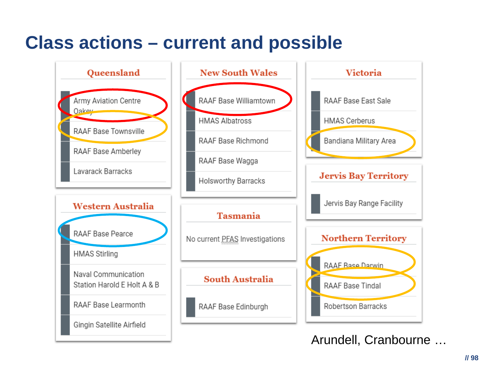### **Class actions – current and possible**



 $II$  98